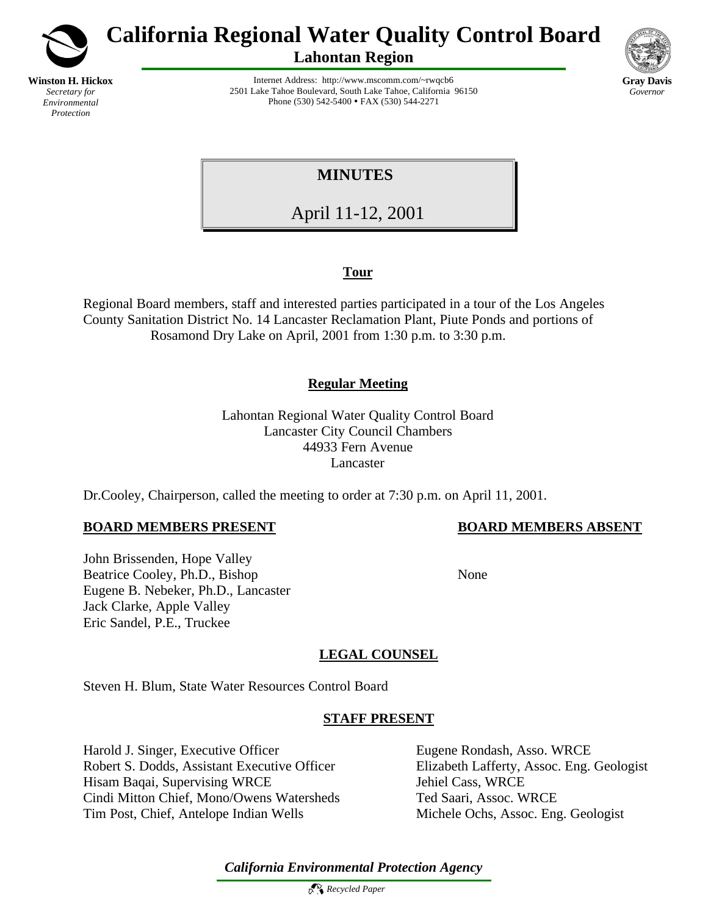

# **California Regional Water Quality Control Board**

**Lahontan Region**



Internet Address: http://www.mscomm.com/~rwqcb6 2501 Lake Tahoe Boulevard, South Lake Tahoe, California 96150 Phone (530) 542-5400 • FAX (530) 544-2271

 **MINUTES**

April 11-12, 2001

# **Tour**

Regional Board members, staff and interested parties participated in a tour of the Los Angeles County Sanitation District No. 14 Lancaster Reclamation Plant, Piute Ponds and portions of Rosamond Dry Lake on April, 2001 from 1:30 p.m. to 3:30 p.m.

# **Regular Meeting**

Lahontan Regional Water Quality Control Board Lancaster City Council Chambers 44933 Fern Avenue Lancaster

Dr.Cooley, Chairperson, called the meeting to order at 7:30 p.m. on April 11, 2001.

# **BOARD MEMBERS PRESENT BOARD MEMBERS ABSENT**

John Brissenden, Hope Valley Beatrice Cooley, Ph.D., Bishop None Eugene B. Nebeker, Ph.D., Lancaster Jack Clarke, Apple Valley Eric Sandel, P.E., Truckee

# **LEGAL COUNSEL**

Steven H. Blum, State Water Resources Control Board

# **STAFF PRESENT**

Harold J. Singer, Executive Officer Eugene Rondash, Asso. WRCE Robert S. Dodds, Assistant Executive Officer Elizabeth Lafferty, Assoc. Eng. Geologist Hisam Baqai, Supervising WRCE Jehiel Cass, WRCE Cindi Mitton Chief, Mono/Owens Watersheds Ted Saari, Assoc. WRCE Tim Post, Chief, Antelope Indian Wells Michele Ochs, Assoc. Eng. Geologist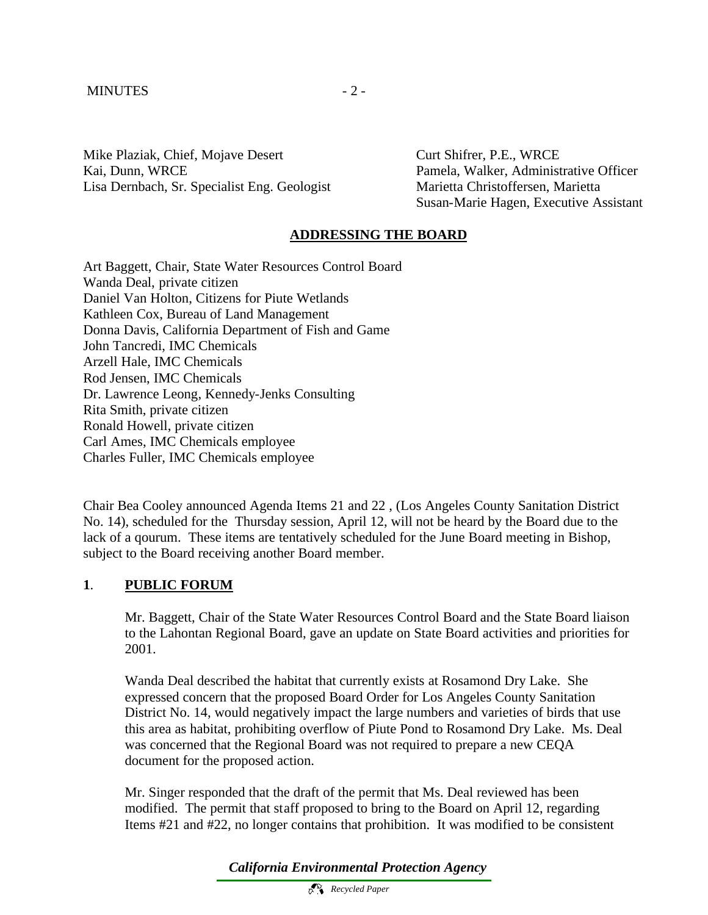#### MINUTES - 2 -

Mike Plaziak, Chief, Mojave Desert Curt Shifrer, P.E., WRCE Kai, Dunn, WRCE Pamela, Walker, Administrative Officer Lisa Dernbach, Sr. Specialist Eng. Geologist Marietta Christoffersen, Marietta

Susan-Marie Hagen, Executive Assistant

# **ADDRESSING THE BOARD**

Art Baggett, Chair, State Water Resources Control Board Wanda Deal, private citizen Daniel Van Holton, Citizens for Piute Wetlands Kathleen Cox, Bureau of Land Management Donna Davis, California Department of Fish and Game John Tancredi, IMC Chemicals Arzell Hale, IMC Chemicals Rod Jensen, IMC Chemicals Dr. Lawrence Leong, Kennedy-Jenks Consulting Rita Smith, private citizen Ronald Howell, private citizen Carl Ames, IMC Chemicals employee Charles Fuller, IMC Chemicals employee

Chair Bea Cooley announced Agenda Items 21 and 22 , (Los Angeles County Sanitation District No. 14), scheduled for the Thursday session, April 12, will not be heard by the Board due to the lack of a qourum. These items are tentatively scheduled for the June Board meeting in Bishop, subject to the Board receiving another Board member.

### **1**. **PUBLIC FORUM**

Mr. Baggett, Chair of the State Water Resources Control Board and the State Board liaison to the Lahontan Regional Board, gave an update on State Board activities and priorities for 2001.

Wanda Deal described the habitat that currently exists at Rosamond Dry Lake. She expressed concern that the proposed Board Order for Los Angeles County Sanitation District No. 14, would negatively impact the large numbers and varieties of birds that use this area as habitat, prohibiting overflow of Piute Pond to Rosamond Dry Lake. Ms. Deal was concerned that the Regional Board was not required to prepare a new CEQA document for the proposed action.

Mr. Singer responded that the draft of the permit that Ms. Deal reviewed has been modified. The permit that staff proposed to bring to the Board on April 12, regarding Items #21 and #22, no longer contains that prohibition. It was modified to be consistent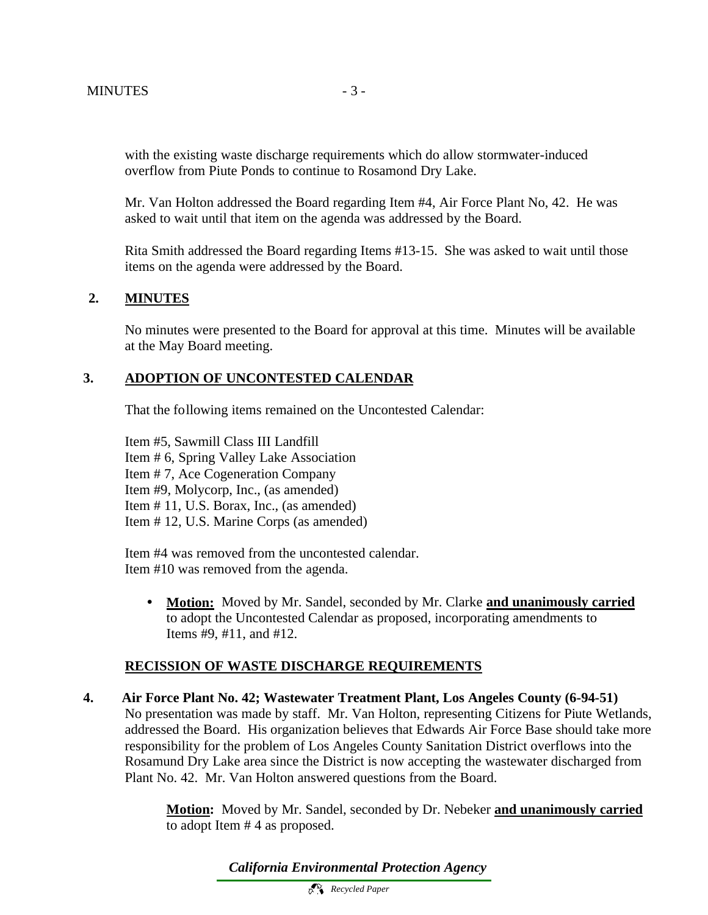with the existing waste discharge requirements which do allow stormwater-induced overflow from Piute Ponds to continue to Rosamond Dry Lake.

Mr. Van Holton addressed the Board regarding Item #4, Air Force Plant No, 42. He was asked to wait until that item on the agenda was addressed by the Board.

Rita Smith addressed the Board regarding Items #13-15. She was asked to wait until those items on the agenda were addressed by the Board.

# **2. MINUTES**

No minutes were presented to the Board for approval at this time. Minutes will be available at the May Board meeting.

# **3. ADOPTION OF UNCONTESTED CALENDAR**

That the following items remained on the Uncontested Calendar:

Item #5, Sawmill Class III Landfill Item # 6, Spring Valley Lake Association Item # 7, Ace Cogeneration Company Item #9, Molycorp, Inc., (as amended) Item # 11, U.S. Borax, Inc., (as amended) Item # 12, U.S. Marine Corps (as amended)

Item #4 was removed from the uncontested calendar. Item #10 was removed from the agenda.

• **Motion:** Moved by Mr. Sandel, seconded by Mr. Clarke **and unanimously carried** to adopt the Uncontested Calendar as proposed, incorporating amendments to Items #9, #11, and #12.

### **RECISSION OF WASTE DISCHARGE REQUIREMENTS**

**4. Air Force Plant No. 42; Wastewater Treatment Plant, Los Angeles County (6-94-51)** No presentation was made by staff. Mr. Van Holton, representing Citizens for Piute Wetlands, addressed the Board. His organization believes that Edwards Air Force Base should take more responsibility for the problem of Los Angeles County Sanitation District overflows into the Rosamund Dry Lake area since the District is now accepting the wastewater discharged from Plant No. 42. Mr. Van Holton answered questions from the Board.

> **Motion:** Moved by Mr. Sandel, seconded by Dr. Nebeker **and unanimously carried** to adopt Item # 4 as proposed.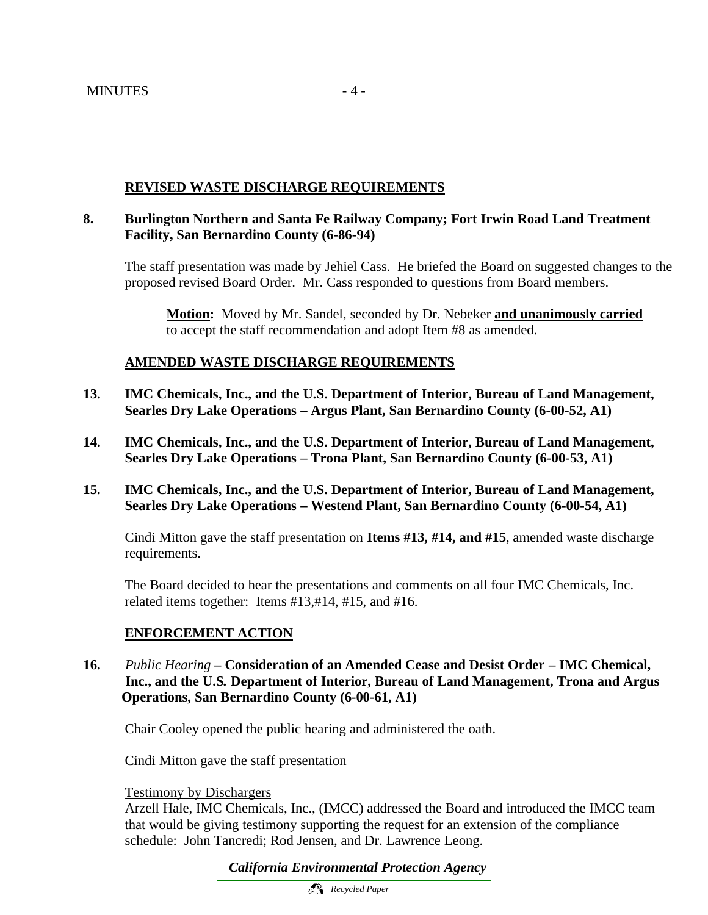# **REVISED WASTE DISCHARGE REQUIREMENTS**

# **8. Burlington Northern and Santa Fe Railway Company; Fort Irwin Road Land Treatment Facility, San Bernardino County (6-86-94)**

The staff presentation was made by Jehiel Cass. He briefed the Board on suggested changes to the proposed revised Board Order. Mr. Cass responded to questions from Board members.

**Motion:** Moved by Mr. Sandel, seconded by Dr. Nebeker **and unanimously carried** to accept the staff recommendation and adopt Item #8 as amended.

# **AMENDED WASTE DISCHARGE REQUIREMENTS**

- **13. IMC Chemicals, Inc., and the U.S. Department of Interior, Bureau of Land Management, Searles Dry Lake Operations – Argus Plant, San Bernardino County (6-00-52, A1)**
- **14. IMC Chemicals, Inc., and the U.S. Department of Interior, Bureau of Land Management, Searles Dry Lake Operations – Trona Plant, San Bernardino County (6-00-53, A1)**
- **15. IMC Chemicals, Inc., and the U.S. Department of Interior, Bureau of Land Management, Searles Dry Lake Operations – Westend Plant, San Bernardino County (6-00-54, A1)**

Cindi Mitton gave the staff presentation on **Items #13, #14, and #15**, amended waste discharge requirements.

The Board decided to hear the presentations and comments on all four IMC Chemicals, Inc. related items together: Items #13,#14, #15, and #16.

# **ENFORCEMENT ACTION**

**16.** *Public Hearing –* **Consideration of an Amended Cease and Desist Order – IMC Chemical, Inc., and the U.S***.* **Department of Interior, Bureau of Land Management, Trona and Argus** **Operations, San Bernardino County (6-00-61, A1)**

Chair Cooley opened the public hearing and administered the oath.

Cindi Mitton gave the staff presentation

Testimony by Dischargers

Arzell Hale, IMC Chemicals, Inc., (IMCC) addressed the Board and introduced the IMCC team that would be giving testimony supporting the request for an extension of the compliance schedule: John Tancredi; Rod Jensen, and Dr. Lawrence Leong.

*California Environmental Protection Agency*

 *Recycled Paper*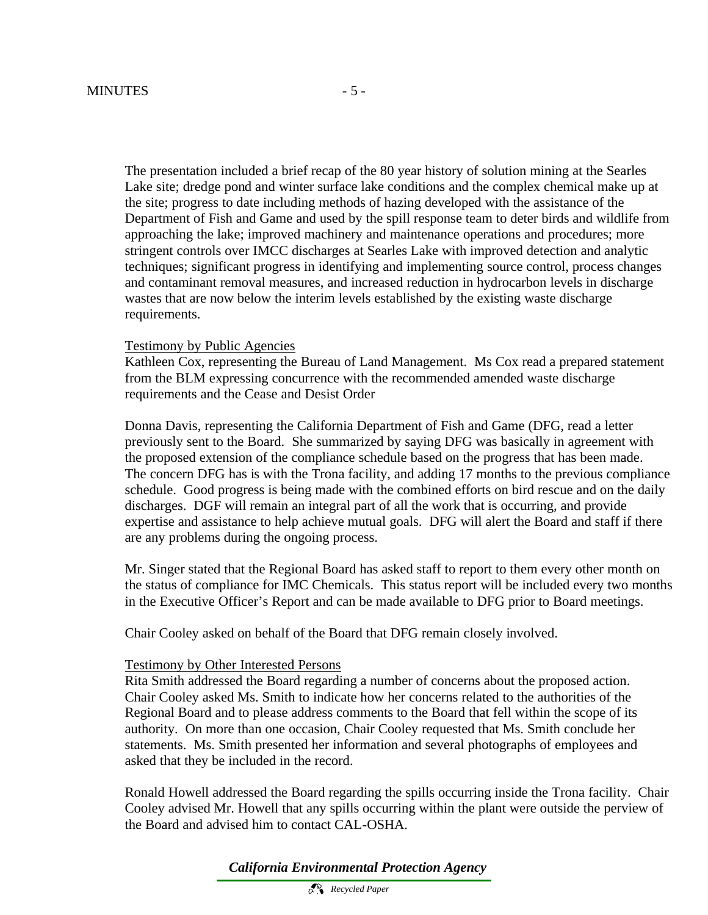The presentation included a brief recap of the 80 year history of solution mining at the Searles Lake site; dredge pond and winter surface lake conditions and the complex chemical make up at the site; progress to date including methods of hazing developed with the assistance of the Department of Fish and Game and used by the spill response team to deter birds and wildlife from approaching the lake; improved machinery and maintenance operations and procedures; more stringent controls over IMCC discharges at Searles Lake with improved detection and analytic techniques; significant progress in identifying and implementing source control, process changes and contaminant removal measures, and increased reduction in hydrocarbon levels in discharge wastes that are now below the interim levels established by the existing waste discharge requirements.

#### Testimony by Public Agencies

Kathleen Cox, representing the Bureau of Land Management. Ms Cox read a prepared statement from the BLM expressing concurrence with the recommended amended waste discharge requirements and the Cease and Desist Order

Donna Davis, representing the California Department of Fish and Game (DFG, read a letter previously sent to the Board. She summarized by saying DFG was basically in agreement with the proposed extension of the compliance schedule based on the progress that has been made. The concern DFG has is with the Trona facility, and adding 17 months to the previous compliance schedule. Good progress is being made with the combined efforts on bird rescue and on the daily discharges. DGF will remain an integral part of all the work that is occurring, and provide expertise and assistance to help achieve mutual goals. DFG will alert the Board and staff if there are any problems during the ongoing process.

Mr. Singer stated that the Regional Board has asked staff to report to them every other month on the status of compliance for IMC Chemicals. This status report will be included every two months in the Executive Officer's Report and can be made available to DFG prior to Board meetings.

Chair Cooley asked on behalf of the Board that DFG remain closely involved.

#### Testimony by Other Interested Persons

Rita Smith addressed the Board regarding a number of concerns about the proposed action. Chair Cooley asked Ms. Smith to indicate how her concerns related to the authorities of the Regional Board and to please address comments to the Board that fell within the scope of its authority. On more than one occasion, Chair Cooley requested that Ms. Smith conclude her statements. Ms. Smith presented her information and several photographs of employees and asked that they be included in the record.

Ronald Howell addressed the Board regarding the spills occurring inside the Trona facility. Chair Cooley advised Mr. Howell that any spills occurring within the plant were outside the perview of the Board and advised him to contact CAL-OSHA.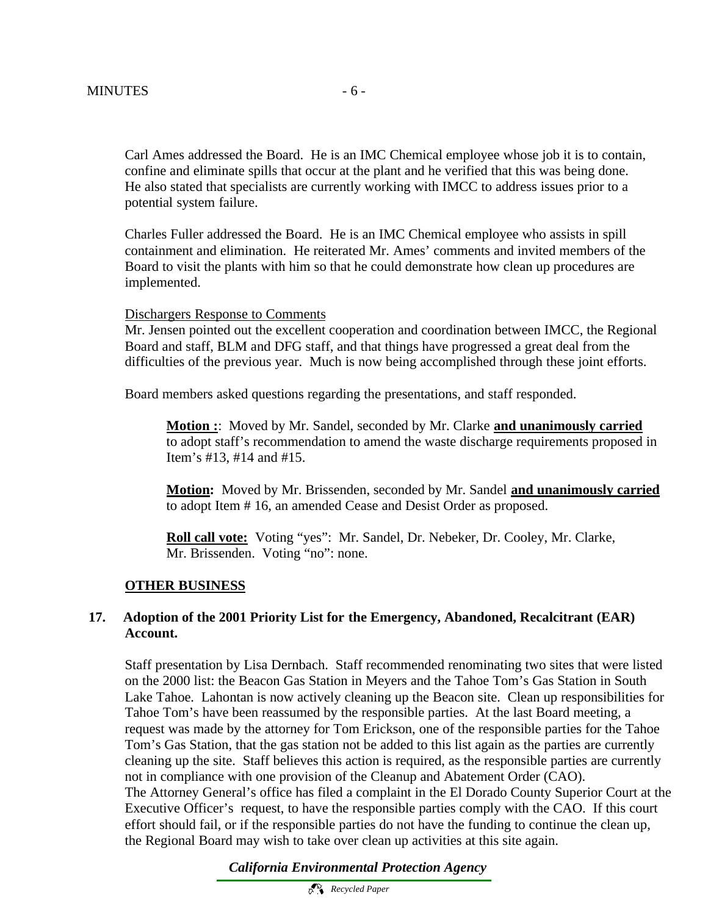Carl Ames addressed the Board. He is an IMC Chemical employee whose job it is to contain, confine and eliminate spills that occur at the plant and he verified that this was being done. He also stated that specialists are currently working with IMCC to address issues prior to a potential system failure.

Charles Fuller addressed the Board. He is an IMC Chemical employee who assists in spill containment and elimination. He reiterated Mr. Ames' comments and invited members of the Board to visit the plants with him so that he could demonstrate how clean up procedures are implemented.

#### Dischargers Response to Comments

Mr. Jensen pointed out the excellent cooperation and coordination between IMCC, the Regional Board and staff, BLM and DFG staff, and that things have progressed a great deal from the difficulties of the previous year. Much is now being accomplished through these joint efforts.

Board members asked questions regarding the presentations, and staff responded.

**Motion :**: Moved by Mr. Sandel, seconded by Mr. Clarke **and unanimously carried** to adopt staff's recommendation to amend the waste discharge requirements proposed in Item's #13, #14 and #15.

**Motion:** Moved by Mr. Brissenden, seconded by Mr. Sandel **and unanimously carried** to adopt Item # 16, an amended Cease and Desist Order as proposed.

**Roll call vote:** Voting "yes": Mr. Sandel, Dr. Nebeker, Dr. Cooley, Mr. Clarke, Mr. Brissenden. Voting "no": none.

#### **OTHER BUSINESS**

#### **17. Adoption of the 2001 Priority List for the Emergency, Abandoned, Recalcitrant (EAR) Account.**

Staff presentation by Lisa Dernbach. Staff recommended renominating two sites that were listed on the 2000 list: the Beacon Gas Station in Meyers and the Tahoe Tom's Gas Station in South Lake Tahoe. Lahontan is now actively cleaning up the Beacon site. Clean up responsibilities for Tahoe Tom's have been reassumed by the responsible parties. At the last Board meeting, a request was made by the attorney for Tom Erickson, one of the responsible parties for the Tahoe Tom's Gas Station, that the gas station not be added to this list again as the parties are currently cleaning up the site. Staff believes this action is required, as the responsible parties are currently not in compliance with one provision of the Cleanup and Abatement Order (CAO). The Attorney General's office has filed a complaint in the El Dorado County Superior Court at the Executive Officer's request, to have the responsible parties comply with the CAO. If this court effort should fail, or if the responsible parties do not have the funding to continue the clean up, the Regional Board may wish to take over clean up activities at this site again.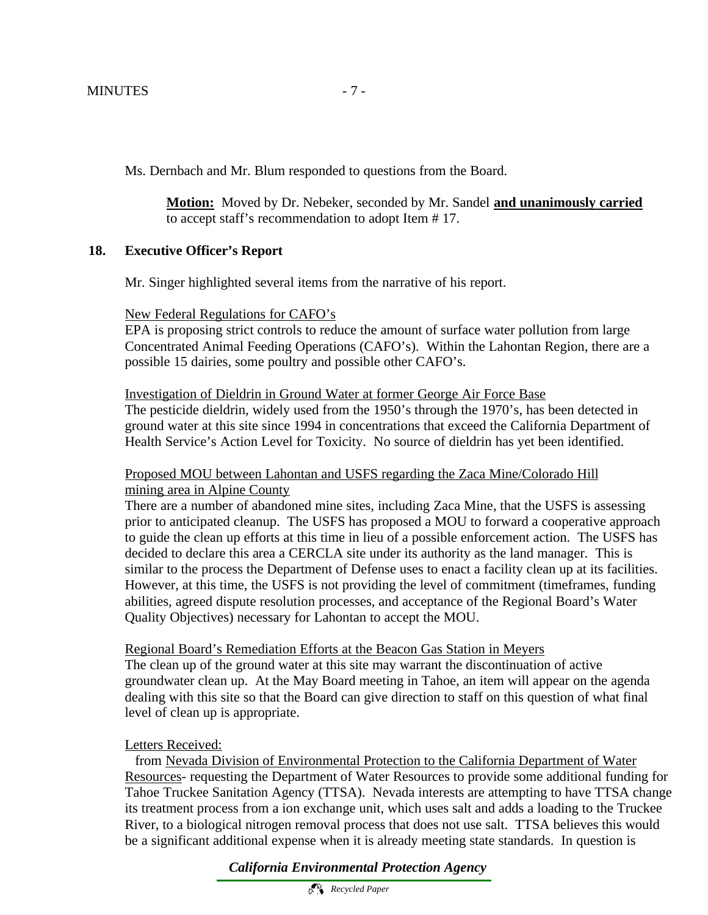Ms. Dernbach and Mr. Blum responded to questions from the Board.

**Motion:** Moved by Dr. Nebeker, seconded by Mr. Sandel **and unanimously carried** to accept staff's recommendation to adopt Item # 17.

# **18. Executive Officer's Report**

Mr. Singer highlighted several items from the narrative of his report.

### New Federal Regulations for CAFO's

EPA is proposing strict controls to reduce the amount of surface water pollution from large Concentrated Animal Feeding Operations (CAFO's). Within the Lahontan Region, there are a possible 15 dairies, some poultry and possible other CAFO's.

### Investigation of Dieldrin in Ground Water at former George Air Force Base The pesticide dieldrin, widely used from the 1950's through the 1970's, has been detected in ground water at this site since 1994 in concentrations that exceed the California Department of Health Service's Action Level for Toxicity. No source of dieldrin has yet been identified.

# Proposed MOU between Lahontan and USFS regarding the Zaca Mine/Colorado Hill mining area in Alpine County

There are a number of abandoned mine sites, including Zaca Mine, that the USFS is assessing prior to anticipated cleanup. The USFS has proposed a MOU to forward a cooperative approach to guide the clean up efforts at this time in lieu of a possible enforcement action. The USFS has decided to declare this area a CERCLA site under its authority as the land manager. This is similar to the process the Department of Defense uses to enact a facility clean up at its facilities. However, at this time, the USFS is not providing the level of commitment (timeframes, funding abilities, agreed dispute resolution processes, and acceptance of the Regional Board's Water Quality Objectives) necessary for Lahontan to accept the MOU.

### Regional Board's Remediation Efforts at the Beacon Gas Station in Meyers

The clean up of the ground water at this site may warrant the discontinuation of active groundwater clean up. At the May Board meeting in Tahoe, an item will appear on the agenda dealing with this site so that the Board can give direction to staff on this question of what final level of clean up is appropriate.

### Letters Received:

 from Nevada Division of Environmental Protection to the California Department of Water Resources- requesting the Department of Water Resources to provide some additional funding for Tahoe Truckee Sanitation Agency (TTSA). Nevada interests are attempting to have TTSA change its treatment process from a ion exchange unit, which uses salt and adds a loading to the Truckee River, to a biological nitrogen removal process that does not use salt. TTSA believes this would be a significant additional expense when it is already meeting state standards. In question is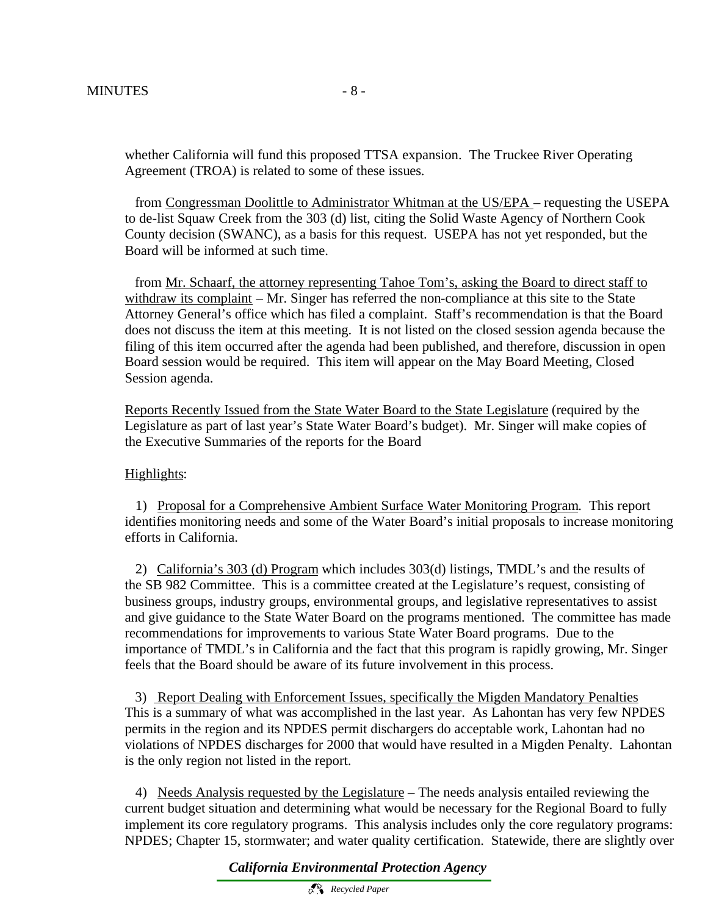whether California will fund this proposed TTSA expansion. The Truckee River Operating Agreement (TROA) is related to some of these issues.

 from Congressman Doolittle to Administrator Whitman at the US/EPA – requesting the USEPA to de-list Squaw Creek from the 303 (d) list, citing the Solid Waste Agency of Northern Cook County decision (SWANC), as a basis for this request. USEPA has not yet responded, but the Board will be informed at such time.

 from Mr. Schaarf, the attorney representing Tahoe Tom's, asking the Board to direct staff to withdraw its complaint – Mr. Singer has referred the non-compliance at this site to the State Attorney General's office which has filed a complaint. Staff's recommendation is that the Board does not discuss the item at this meeting. It is not listed on the closed session agenda because the filing of this item occurred after the agenda had been published, and therefore, discussion in open Board session would be required. This item will appear on the May Board Meeting, Closed Session agenda.

Reports Recently Issued from the State Water Board to the State Legislature (required by the Legislature as part of last year's State Water Board's budget). Mr. Singer will make copies of the Executive Summaries of the reports for the Board

# Highlights:

 1) Proposal for a Comprehensive Ambient Surface Water Monitoring Program. This report identifies monitoring needs and some of the Water Board's initial proposals to increase monitoring efforts in California.

2) California's 303 (d) Program which includes 303(d) listings, TMDL's and the results of the SB 982 Committee. This is a committee created at the Legislature's request, consisting of business groups, industry groups, environmental groups, and legislative representatives to assist and give guidance to the State Water Board on the programs mentioned. The committee has made recommendations for improvements to various State Water Board programs. Due to the importance of TMDL's in California and the fact that this program is rapidly growing, Mr. Singer feels that the Board should be aware of its future involvement in this process.

 3) Report Dealing with Enforcement Issues, specifically the Migden Mandatory Penalties This is a summary of what was accomplished in the last year. As Lahontan has very few NPDES permits in the region and its NPDES permit dischargers do acceptable work, Lahontan had no violations of NPDES discharges for 2000 that would have resulted in a Migden Penalty. Lahontan is the only region not listed in the report.

4) Needs Analysis requested by the Legislature – The needs analysis entailed reviewing the current budget situation and determining what would be necessary for the Regional Board to fully implement its core regulatory programs. This analysis includes only the core regulatory programs: NPDES; Chapter 15, stormwater; and water quality certification. Statewide, there are slightly over